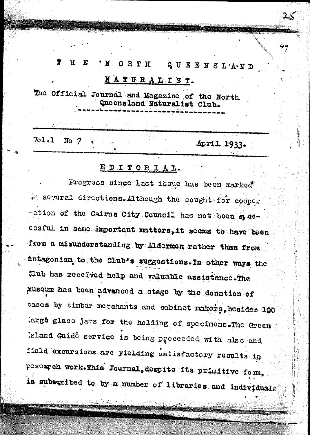#### Ť  $\mathbf{H}$ F 'N ORTH QUEENSLAND

# NATURALIST.

The Official Journal and Magazine of the North Queensland Naturalist Club.

 $V_01.1$ No  $7$ 

April 1933.

49

## EDITORIAL.

Progress since last issue has been marked in several directions. Although the sought for cooper -ation of the Cairns City Council has not been spocessful in some important matters, it seems to have been from a misunderstanding by Aldermen rather than from antagonism to the Club's suggestions. In other ways the Club has received help and valuable assistance. The musqum has been advanced a stage by the donation of cases by timber merchants and cabinet makers, besides 100 arge glass jars for the holding of specimens. The Green sland Guide service is being proceeded with also and field excursions are yielding satisfactory results in research work.This Journal, despite its primitive form, is subscribed to by a number of libraries and individuals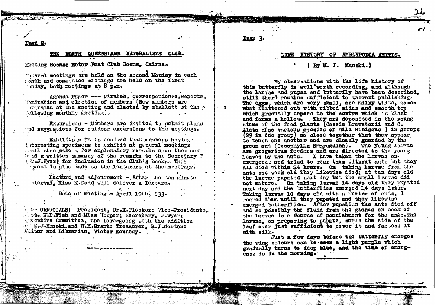age :

#### WORTH QUEENSLAND NATURALISTS CLUB.

Mooting Rooms: Motor Boat Club Rooms, Cairns.

Goneral meetings are held on the second Monday in each isnth and committee meetings are held on the first  $\Box$ onday, both meetings at  $8$  p.m.

Agenda Paper - Minutes, Correspondence, Reports, Momination and election of members (New members are cominated at one meeting and cleeted by aballott at the  $\gamma$ ollowing monthly meeting).

Excursions - Members are invited to submit plans and suggestions for outdoor excursions to the meetings.

Exhibits .- It is desired that members having . interesting specimens to exhibit at general meetings all also make a few explanatory remarks upon them and hand a written summary of the remarks to the Secretary T r.J. Wycr) for inclusion in the Club's books. This quest is also made to the leaturers at the meetings.

Lecture and adjournment - After the ten minute interval. Miss K.Dodd will deliver a lecture.

Date of Meeting - April 10th, 1933.

UB OFFICIALS: President, Dr.H.Flecker: Vice-Presidents. the W.P.Fish and Miss Hooper; Secretary, J.Wyer: secutive Committee, the fore-going with the addition M.J.Manski. and W.M.Grant: Treasurer, R.J.Gorton: Mittor and Librarian. Victor Kennedy.

### Page 3

#### LIFE HISTORY OF AMELYPODIA AMYTIS.

### (By M. J. Manski.)

My observations with the life history of this butterfly is well'worth recording, and although the larvae and pupac and butterfly have been described. still there remains sufficient to warrant publishing. The eggs, which are very small, are milky white, somewhat flattened out with ribbed sides and smooth top which gradually tapers to the contre which is black and forms a hollow. They are deposited in the young stems of the food plants (Cassia Brewsterii and C. Alata also various species of wild Hibiscus ) in groups (29 in one group) so close together that they appear to touch one another and are closely guarded by the green ant (Occophylla Smaragdina). The young larvac are gregarious feeders and are directed to the young leaves by the ents. I have taken the larvae on. emergence and tried to rear them without ants but they all died within 24 hours. On taking larvae from the ants one week old they likewise died; at ten days old the larvac pupated next day but the small larvac did not mature. On taking larvae 14 days old they pupated next day and the butterflies emerged 14 days later. Taking larvae 10 days old with a number of ants. I reared them until they pupated and they likewise emerged butterflies. After pupation the ants died off and so possibly the fluid from the glands on back of the larvae is a Source of nourishment for the ants. The larvac, on preparing to pupate, curls the side of the leaf over just suffloient to cover it and fastens it with silk.

Just a few days before the butterfly emerges the wing colours can be seen a light purple which gradually turns to deep blue, and the time of emergcnee is in the morning.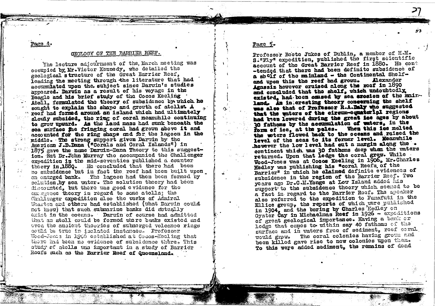Pare 4.

#### GEOLOGY OF THE BARRIER REEF.

The lecture adjournment of the March meeting was occupied by Mr. Victor Kennedy, who detailed the geological structure of the Great Barrier Reef. leading the mecting through the literature that had accumulated upon the subject since Darwin's studies appeared. Darwin as a result of his voyage in the Beagle and his brief study of the Cocos Kecling Atoll, formulated the theory of subsidence by which he sought to explain the shape and growth of atolls. A recf had formed around an island which had ultimately slowly subsided, the ring of coral meanwhile continuing to grow upward. As the land mass had sunk beneath the sea surface the fringing coral had grown above it and accounted for the ring shape and for the lagoon in the middle. The strong support given Darwin by the American J.D.Dana ("Corals and Coral Islands") in 1875 gave the name Darwin-Dana Theory to this suggestion. But Dr.Jchn Murray the accompanied the Challenger expedition in the mid-seventies published a counter theory in 1880. He concluded that there had been no subsidence but in fact the reef had been built upon an emerged bank. The lagoon had then been formed by solution by sea vater. The solution theory had been discounted, but there was good evidence for the empressee theory in regard to some atolla; the Challenger expedition also the works of Admiral Wharton and others had established (what Darwin couldnot know) that such submarine banks did setually exist in the occans. Darwin of course had admitted that an atoll could be formed where banks existed and even the anaient theories of submerged volcanoe rings could be true in isolated instances. Professor Wood-Jemes in 1906 established at Cocos-Eecling that there had been no evidence of subsidence there. This study of stolls was important in a study of Barrier Recfs such as the Barrier Reef of Queensland.

#### Page

Professor Reete Jukes of Dublin. a member of H.M. S. "Fly" expedition, published the first scientific account of the Great Barrier Reef in 1880. He cont -tended that there had been definite subsidence of a shelf of the mainland - the Continental Shelfand upon this the reef had grown. **Alexander** Agassiz however cruised along the reef in 1890 and concluded that the shelf, which undoubtedly existed, had been caused by sea arosion of the mainland. An interesting theory concerning the shelf was also that of Professor R.A.Daly who suggested that the waters of the circum-equatorial regions had ken lowered during the great ice ages by about 30 fathoms by the accumulation of waters, in the form of ice. at the poles. When this ice melted the woters flowed back to the oceans and raised the level of the seas to its former level. Meanwhile however the low level had cut a margin along the . continent which was 30 fathoms deep when the waters returned. Upon that ledge the coral grew. While Wood-Jones was at Cocos Keeling in 1906. Mr. Charles Hedley was publishing his "coral Reefs of the Barrier" in which he claimed definite evidences of subsidence in the region of the Barrier Reef. Two years ago Dr.C.M. Yonge at Low Island added his support to the subsidence theory which seemed to be a fact in regard to the Barrier Reef. The speaker also referred to the expedition to Funafuti in the Ellice group, the reports of which were published in 1904, and the boring by Charles Hedley on Oyster Cay in Michaelmas Reef in 1926 - expeditions of great geological importance. Having a bank or ledge that comes to within say 40 fathoms of the surface and in waters free of sediment, reef coral The coral colonies having grown and vould grow. been killed gave rise to new colonies upon them. To this were added sediment, the remains of dead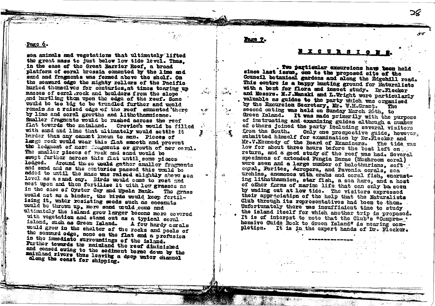Pare 6.

sea animals and vegetations that ultimately lifted the great mass to just below low tide level. Thus. in the ease of the Great Barrier Reef. a broad platform of coral bressia comented by the lime and sand and fragments was formed above the shelf. On the scaward edge the mighty rollers of the Pacific hurled themselves for centuries.at times tearing up masses of coral.rock and boulders from the slope and hurtling them upon the edge of the reef. Some would be too big to be trundled further and would remain as a raised edge of the reef comented there by lime and coral growths and lithothamnionae. Smaller frazments would be rushed across the reef flat towards the mainland. Crevice's would be filled with sand and lime that ultimately would settle it harder than any cament known to man. Pieces of large rock would wear this flat smooth and prevent the lodgment of more fragments or growth of new coral. The smaller pieces of rock and sand would be awent further across this flat until some pieces lodged. Around the so would gather smaller fragments and sand and as the centuries passed this would be added to until the mass was raised slightly above sea level as a sand cav. Birds would come to rest and nest upon and then fertilise it with low grasses as in the case of Oyster Cay and Upola Bank. The grass would act as a binder. the birds would keep fertilising it. water resisting seeds such as coconuts would be thrown up. more sand would come and ultimately the island grew larger become more covered with vegetation and stand out as a typical coral. island, such as Green Island. A few hardy corals would grow in the shelter of the rocks and pools of the seaward odge, none on the flat and a profusion in the immediate surroundings of the island. Further towards the mainland the reef diminished and ceased owing to the sediment borne down by the mainland rivers thus leaving a deep water channel along the coast for shipping.

المتربعة

## **BXCURSIO**

 $-5$ 

Two particular excursions have been held since last issue, one to the proposed site of the Council botanical gardens and along the Edgebill road. This contro is a happy hunting ground for Naturalists with a bont for flora and inscot study. Dr.Flecker and Messrs. H.J.Manski and L.Wright were particularly valuable as guides to the party which was organised by the Excursion Secretary, Mr. W.M.Grant. The second outing was held on Sunday March 26th, to Green Island. It was made primerily with the purpose of instructing and examining guides although a number of others joined the party including several visitors from the South. Only one prospective guide, however. submitted himself for examination by Dr.Flecker and Mr.V.Kennedy of the Board of Examiners. The tide was low for about three hours before the boat left on return, and a good study of the reef was had. Several specimens of extended Fungia Danae (Mushroom coral) were seen and a large number of holothurians. soft. coral, Porites, Acropora, and Pavonia corals, sca urchins. anemones with crabs and coral fish, encrusting lithothammion, star fish, a sea hare, and a host of ofher forms of marine life that can only be seen by wading out at low tide. The visitors expressed their appreciation of the help that the Naturalists Club through its representatives had been to them. Unfortunately there was insufficient time to study the island itself for which another trip is proposed. It is of interest to note that the Club's "Compress. hensive Guide Book to Green Island" is nearing completion. It is in the expert hands of Dr. Flecker.